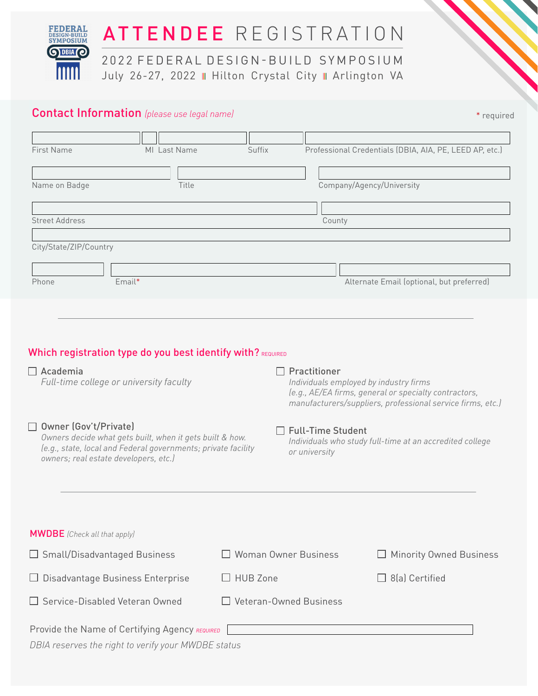

# Contact Information *(please use legal name)*

| * required |
|------------|
|            |

| <b>First Name</b>      |              | MI Last Name                                                | Suffix | Professional Credentials (DBIA, AIA, PE, LEED AP, etc.) |
|------------------------|--------------|-------------------------------------------------------------|--------|---------------------------------------------------------|
|                        |              |                                                             |        |                                                         |
| Name on Badge          |              | Title                                                       |        | Company/Agency/University                               |
|                        |              |                                                             |        |                                                         |
| <b>Street Address</b>  |              |                                                             |        | County                                                  |
| City/State/ZIP/Country |              |                                                             |        |                                                         |
|                        |              |                                                             |        |                                                         |
| Phone                  | Email*       |                                                             |        | Alternate Email (optional, but preferred)               |
|                        |              |                                                             |        |                                                         |
|                        |              |                                                             |        |                                                         |
|                        |              | Which registration type do you best identify with? REQUIRED |        |                                                         |
| $\Box$ Academia        | Practitioner |                                                             |        |                                                         |

*Full-time college or university faculty*

# Owner (Gov't/Private)

*Owners decide what gets built, when it gets built & how. (e.g., state, local and Federal governments; private facility owners; real estate developers, etc.)*

### Practitioner

*Individuals employed by industry firms (e.g., AE/EA firms, general or specialty contractors, manufacturers/suppliers, professional service firms, etc.)*

### □ Full-Time Student

*Individuals who study full-time at an accredited college or university*

| <b>MWDBE</b> (Check all that apply)                 |                               |                                |  |  |  |  |
|-----------------------------------------------------|-------------------------------|--------------------------------|--|--|--|--|
| $\Box$ Small/Disadvantaged Business                 | $\Box$ Woman Owner Business   | $\Box$ Minority Owned Business |  |  |  |  |
| $\Box$ Disadvantage Business Enterprise             | $\Box$ HUB Zone               | $\Box$ 8(a) Certified          |  |  |  |  |
| $\Box$ Service-Disabled Veteran Owned               | $\Box$ Veteran-Owned Business |                                |  |  |  |  |
| Provide the Name of Certifying Agency REQUIRED      |                               |                                |  |  |  |  |
| DBIA reserves the right to verify your MWDBE status |                               |                                |  |  |  |  |